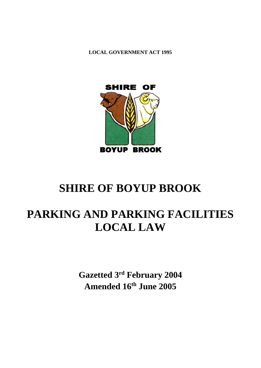**LOCAL GOVERNMENT ACT 1995**



# **SHIRE OF BOYUP BROOK**

# **PARKING AND PARKING FACILITIES LOCAL LAW**

**Gazetted 3 rd February 2004 Amended 16th June 2005**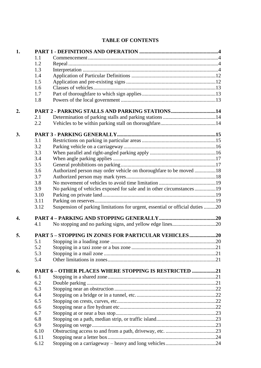# **TABLE OF CONTENTS**

| 1.               |      |                                                                               |  |
|------------------|------|-------------------------------------------------------------------------------|--|
|                  | 1.1  |                                                                               |  |
|                  | 1.2  |                                                                               |  |
|                  | 1.3  |                                                                               |  |
|                  | 1.4  |                                                                               |  |
|                  | 1.5  |                                                                               |  |
|                  | 1.6  |                                                                               |  |
|                  | 1.7  |                                                                               |  |
|                  | 1.8  |                                                                               |  |
| 2.               |      | PART 2 - PARKING STALLS AND PARKING STATIONS14                                |  |
|                  | 2.1  |                                                                               |  |
|                  | 2.2  |                                                                               |  |
| 3.               |      |                                                                               |  |
|                  | 3.1  |                                                                               |  |
|                  | 3.2  |                                                                               |  |
|                  | 3.3  |                                                                               |  |
|                  | 3.4  |                                                                               |  |
|                  | 3.5  |                                                                               |  |
|                  | 3.6  | Authorized person may order vehicle on thoroughfare to be moved 18            |  |
|                  | 3.7  |                                                                               |  |
|                  | 3.8  |                                                                               |  |
|                  | 3.9  | No parking of vehicles exposed for sale and in other circumstances19          |  |
|                  | 3.10 |                                                                               |  |
|                  | 3.11 |                                                                               |  |
|                  | 3.12 | Suspension of parking limitations for urgent, essential or official duties 20 |  |
| $\overline{4}$ . |      |                                                                               |  |
|                  | 4.1  |                                                                               |  |
| 5.               |      | <b>PART 5 - STOPPING IN ZONES FOR PARTICULAR VEHICLES20</b>                   |  |
|                  | 5.1  |                                                                               |  |
|                  | 5.2  |                                                                               |  |
|                  | 5.3  |                                                                               |  |
|                  | 5.4  |                                                                               |  |
| 6.               |      | PART 6 - OTHER PLACES WHERE STOPPING IS RESTRICTED 21                         |  |
|                  | 6.1  |                                                                               |  |
|                  | 6.2  |                                                                               |  |
|                  | 6.3  |                                                                               |  |
|                  | 6.4  |                                                                               |  |
|                  | 6.5  |                                                                               |  |
|                  | 6.6  |                                                                               |  |
|                  | 6.7  |                                                                               |  |
|                  | 6.8  |                                                                               |  |
|                  | 6.9  |                                                                               |  |
|                  | 6.10 |                                                                               |  |
|                  | 6.11 |                                                                               |  |
|                  | 6.12 |                                                                               |  |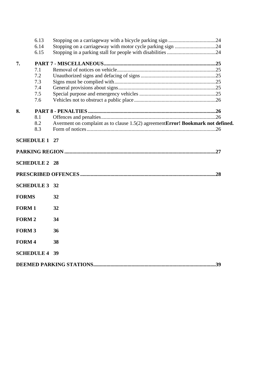|              | 6.13                 |                                                                                 |  |
|--------------|----------------------|---------------------------------------------------------------------------------|--|
|              | 6.14                 |                                                                                 |  |
|              | 6.15                 |                                                                                 |  |
| 7.           |                      |                                                                                 |  |
|              | 7.1                  |                                                                                 |  |
|              | 7.2                  |                                                                                 |  |
|              | 7.3                  |                                                                                 |  |
|              | 7.4                  |                                                                                 |  |
|              | 7.5                  |                                                                                 |  |
|              | 7.6                  |                                                                                 |  |
| 8.           |                      |                                                                                 |  |
|              | 8.1                  |                                                                                 |  |
|              | 8.2                  | Averment on complaint as to clause 1.5(2) agreementError! Bookmark not defined. |  |
|              | 8.3                  |                                                                                 |  |
|              | <b>SCHEDULE 1 27</b> |                                                                                 |  |
|              |                      |                                                                                 |  |
|              | <b>SCHEDULE 2 28</b> |                                                                                 |  |
|              |                      |                                                                                 |  |
|              | <b>SCHEDULE 3 32</b> |                                                                                 |  |
| <b>FORMS</b> |                      | 32                                                                              |  |
| <b>FORM1</b> |                      | 32                                                                              |  |
| <b>FORM2</b> |                      | 34                                                                              |  |
| <b>FORM3</b> |                      | 36                                                                              |  |
| <b>FORM4</b> |                      | 38                                                                              |  |
|              | <b>SCHEDULE 4 39</b> |                                                                                 |  |
|              |                      |                                                                                 |  |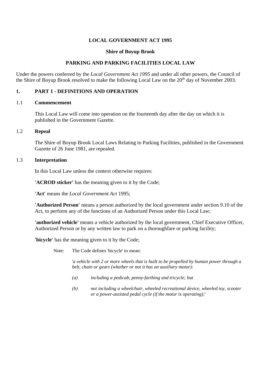### **LOCAL GOVERNMENT ACT 1995**

#### **Shire of Boyup Brook**

## **PARKING AND PARKING FACILITIES LOCAL LAW**

Under the powers conferred by the *Local Government Act 1995* and under all other powers, the Council of the Shire of Boyup Brook resolved to make the following Local Law on the 20<sup>th</sup> day of November 2003.

### **1. PART 1 - DEFINITIONS AND OPERATION**

#### 1.1 **Commencement**

This Local Law will come into operation on the fourteenth day after the day on which it is published in the Government Gazette.

#### 1.2 **Repeal**

The Shire of Boyup Brook Local Laws Relating to Parking Facilities, published in the Government Gazette of 26 June 1981, are repealed.

#### 1.3 **Interpretation**

In this Local Law unless the context otherwise requires:

**'ACROD sticker'** has the meaning given to it by the Code;

**'Act'** means the *Local Government Act* 1995;

**'Authorized Person'** means a person authorized by the local government under section 9.10 of the Act, to perform any of the functions of an Authorized Person under this Local Law;

**'authorized vehicle'** means a vehicle authorized by the local government, Chief Executive Officer, Authorized Person or by any written law to park on a thoroughfare or parking facility;

**'bicycle'** has the meaning given to it by the Code;

Note: The Code defines 'bicycle' to mean:

'*a vehicle with 2 or more wheels that is built to be propelled by human power through a belt, chain or gears (whether or not it has an auxiliary motor):*

- *(a) including a pedicab, penny-farthing and tricycle; but*
- *(b) not including a wheelchair, wheeled recreational device, wheeled toy, scooter or a power-assisted pedal cycle (if the motor is operating);*'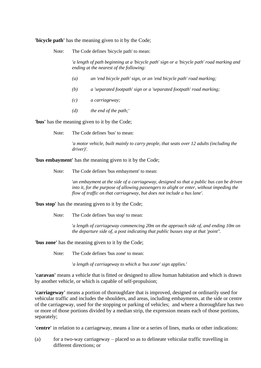**'bicycle path'** has the meaning given to it by the Code;

Note: The Code defines 'bicycle path' to mean:

*'a length of path beginning at a 'bicycle path' sign or a 'bicycle path' road marking and ending at the nearest of the following:*

- *(a) an 'end bicycle path' sign, or an 'end bicycle path' road marking;*
- *(b) a 'separated footpath' sign or a 'separated footpath' road marking;*
- *(c) a carriageway;*
- *(d) the end of the path;'*

**'bus'** has the meaning given to it by the Code;

Note: The Code defines 'bus' to mean:

*'a motor vehicle, built mainly to carry people, that seats over 12 adults (including the driver)'.*

**'bus embayment'** has the meaning given to it by the Code;

Note: The Code defines 'bus embayment' to mean:

'*an embayment at the side of a carriageway, designed so that a public bus can be driven into it, for the purpose of allowing passengers to alight or enter, without impeding the flow of traffic on that carriageway, but does not include a bus lane'.*

**'bus stop'** has the meaning given to it by the Code;

Note: The Code defines 'bus stop' to mean:

'*a length of carriageway commencing 20m on the approach side of, and ending 10m on the departure side of, a post indicating that public busses stop at that 'point''.*

**'bus zone'** has the meaning given to it by the Code;

Note: The Code defines 'bus zone' to mean:

'*a length of carriageway to which a 'bus zone' sign applies.*'

**'caravan'** means a vehicle that is fitted or designed to allow human habitation and which is drawn by another vehicle, or which is capable of self-propulsion;

**'carriageway'** means a portion of thoroughfare that is improved, designed or ordinarily used for vehicular traffic and includes the shoulders, and areas, including embayments, at the side or centre of the carriageway, used for the stopping or parking of vehicles; and where a thoroughfare has two or more of those portions divided by a median strip, the expression means each of those portions, separately;

**'centre'** in relation to a carriageway, means a line or a series of lines, marks or other indications:

(a) for a two-way carriageway – placed so as to delineate vehicular traffic travelling in different directions; or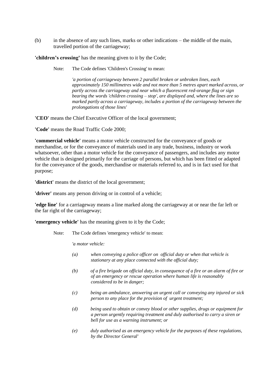(b) in the absence of any such lines, marks or other indications – the middle of the main, travelled portion of the carriageway;

**'children's crossing'** has the meaning given to it by the Code;

Note: The Code defines 'Children's Crossing' to mean:

*'a portion of carriageway between 2 parallel broken or unbroken lines, each approximately 150 millimetres wide and not more than 5 metres apart marked across, or partly across the carriageway and near which a fluorescent red-orange flag or sign bearing the words 'children crossing – stop', are displayed and, where the lines are so marked partly across a carriageway, includes a portion of the carriageway between the prolongations of those lines'*

**'CEO'** means the Chief Executive Officer of the local government;

**'Code'** means the Road Traffic Code 2000;

**'commercial vehicle'** means a motor vehicle constructed for the conveyance of goods or merchandise, or for the conveyance of materials used in any trade, business, industry or work whatsoever, other than a motor vehicle for the conveyance of passengers, and includes any motor vehicle that is designed primarily for the carriage of persons, but which has been fitted or adapted for the conveyance of the goods, merchandise or materials referred to, and is in fact used for that purpose;

**'district'** means the district of the local government;

**'driver'** means any person driving or in control of a vehicle;

**'edge line'** for a carriageway means a line marked along the carriageway at or near the far left or the far right of the carriageway;

**'emergency vehicle'** has the meaning given to it by the Code;

Note: The Code defines 'emergency vehicle' to mean:

*'a motor vehicle:*

- *(a) when conveying a police officer on official duty or when that vehicle is stationary at any place connected with the official duty;*
- *(b) of a fire brigade on official duty, in consequence of a fire or an alarm of fire or of an emergency or rescue operation where human life is reasonably considered to be in danger;*
- *(c) being an ambulance, answering an urgent call or conveying any injured or sick person to any place for the provision of urgent treatment;*
- *(d) being used to obtain or convey blood or other supplies, drugs or equipment for a person urgently requiring treatment and duly authorised to carry a siren or bell for use as a warning instrument; or*
- *(e) duly authorised as an emergency vehicle for the purposes of these regulations, by the Director General'*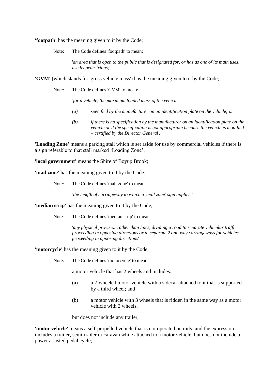**'footpath'** has the meaning given to it by the Code;

Note: The Code defines 'footpath' to mean:

'*an area that is open to the public that is designated for, or has as one of its main uses, use by pedestrians;*'

**'GVM'** (which stands for 'gross vehicle mass') has the meaning given to it by the Code;

Note: The Code defines 'GVM' to mean:

*'for a vehicle, the maximum loaded mass of the vehicle –*

- *(a) specified by the manufacturer on an identification plate on the vehicle; or*
- *(b) if there is no specification by the manufacturer on an identification plate on the vehicle or if the specification is not appropriate because the vehicle is modified – certified by the Director General'.*

**'Loading Zone'** means a parking stall which is set aside for use by commercial vehicles if there is a sign referable to that stall marked 'Loading Zone';

**'local government'** means the Shire of Boyup Brook;

**'mail zone'** has the meaning given to it by the Code;

Note: The Code defines 'mail zone' to mean:

*'the length of carriageway to which a 'mail zone' sign applies.'*

**'median strip'** has the meaning given to it by the Code;

Note: The Code defines 'median strip' to mean:

'*any physical provision, other than lines, dividing a road to separate vehicular traffic proceeding in opposing directions or to separate 2 one-way carriageways for vehicles proceeding in opposing directions*'

**'motorcycle'** has the meaning given to it by the Code;

Note: The Code defines 'motorcycle' to mean:

a motor vehicle that has 2 wheels and includes:

- (a) a 2-wheeled motor vehicle with a sidecar attached to it that is supported by a third wheel; and
- (b) a motor vehicle with 3 wheels that is ridden in the same way as a motor vehicle with 2 wheels,

but does not include any trailer;

**'motor vehicle'** means a self-propelled vehicle that is not operated on rails; and the expression includes a trailer, semi-trailer or caravan while attached to a motor vehicle, but does not include a power assisted pedal cycle;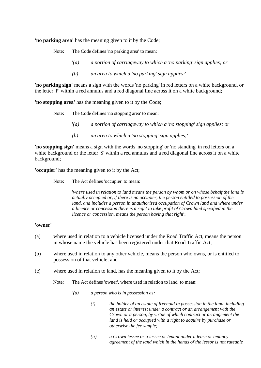**'no parking area'** has the meaning given to it by the Code;

Note: The Code defines 'no parking area' to mean:

- '*(a) a portion of carriageway to which a 'no parking' sign applies; or*
- *(b) an area to which a 'no parking' sign applies;*'

**'no parking sign'** means a sign with the words 'no parking' in red letters on a white background, or the letter 'P' within a red annulus and a red diagonal line across it on a white background;

**'no stopping area'** has the meaning given to it by the Code;

Note: The Code defines 'no stopping area' to mean:

- '*(a) a portion of carriageway to which a 'no stopping' sign applies; or*
- *(b) an area to which a 'no stopping' sign applies;'*

**'no stopping sign'** means a sign with the words 'no stopping' or 'no standing' in red letters on a white background or the letter 'S' within a red annulus and a red diagonal line across it on a white background;

**'occupier'** has the meaning given to it by the Act;

Note: The Act defines 'occupier' to mean:

'*where used in relation to land means the person by whom or on whose behalf the land is actually occupied or, if there is no occupier, the person entitled to possession of the*  land, and includes a person in unauthorized occupation of Crown land and where under *a licence or concession there is a right to take profit of Crown land specified in the licence or concession, means the person having that right*';

## **'owner'**

- (a) where used in relation to a vehicle licensed under the Road Traffic Act, means the person in whose name the vehicle has been registered under that Road Traffic Act;
- (b) where used in relation to any other vehicle, means the person who owns, or is entitled to possession of that vehicle; and
- (c) where used in relation to land, has the meaning given to it by the Act;

Note: The Act defines 'owner', where used in relation to land, to mean:

- *'(a) a person who is in possession as:*
	- *(i) the holder of an estate of freehold in possession in the land, including an estate or interest under a contract or an arrangement with the Crown or a person, by virtue of which contract or arrangement the land is held or occupied with a right to acquire by purchase or otherwise the fee simple;*
	- *(ii) a Crown lessee or a lessee or tenant under a lease or tenancy agreement of the land which in the hands of the lessor is not rateable*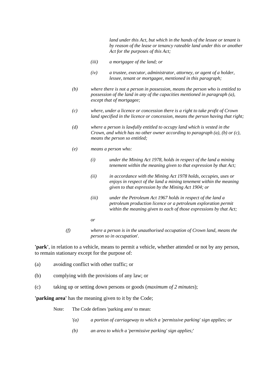*land under this Act, but which in the hands of the lessee or tenant is by reason of the lease or tenancy rateable land under this or another Act for the purposes of this Act;*

- *(iii) a mortgagee of the land; or*
- *(iv) a trustee, executor, administrator, attorney, or agent of a holder, lessee, tenant or mortgagee, mentioned in this paragraph;*
- *(b) where there is not a person in possession, means the person who is entitled to possession of the land in any of the capacities mentioned in paragraph (a), except that of mortgagee;*
- *(c) where, under a licence or concession there is a right to take profit of Crown land specified in the licence or concession, means the person having that right;*
- *(d) where a person is lawfully entitled to occupy land which is vested in the Crown, and which has no other owner according to paragraph (a), (b) or (c), means the person so entitled;*
- *(e) means a person who:*
	- *(i) under the Mining Act 1978, holds in respect of the land a mining tenement within the meaning given to that expression by that Act;*
	- *(ii) in accordance with the Mining Act 1978 holds, occupies, uses or enjoys in respect of the land a mining tenement within the meaning given to that expression by the Mining Act 1904; or*
	- *(iii) under the Petroleum Act 1967 holds in respect of the land a petroleum production licence or a petroleum exploration permit within the meaning given to each of those expressions by that Act;*

*or*

*(f) where a person is in the unauthorised occupation of Crown land, means the person so in occupation*'.

**'park'**, in relation to a vehicle, means to permit a vehicle, whether attended or not by any person, to remain stationary except for the purpose of:

- (a) avoiding conflict with other traffic; or
- (b) complying with the provisions of any law; or
- (c) taking up or setting down persons or goods (*maximum of 2 minutes*);

**'parking area'** has the meaning given to it by the Code;

Note: The Code defines 'parking area' to mean:

- '*(a) a portion of carriageway to which a 'permissive parking' sign applies; or*
- *(b) an area to which a 'permissive parking' sign applies;*'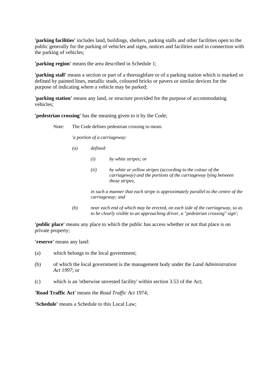**'parking facilities'** includes land, buildings, shelters, parking stalls and other facilities open to the public generally for the parking of vehicles and signs, notices and facilities used in connection with the parking of vehicles;

**'parking region'** means the area described in Schedule 1;

**'parking stall'** means a section or part of a thoroughfare or of a parking station which is marked or defined by painted lines, metallic studs, coloured bricks or pavers or similar devices for the purpose of indicating where a vehicle may be parked;

**'parking station'** means any land, or structure provided for the purpose of accommodating vehicles;

**'pedestrian crossing'** has the meaning given to it by the Code;

Note: The Code defines pedestrian crossing to mean:

*'a portion of a carriageway:*

- *(a) defined:*
	- *(i) by white stripes; or*
	- *(ii) by white or yellow stripes (according to the colour of the carriageway) and the portions of the carriageway lying between those stripes,*

*in such a manner that each stripe is approximately parallel to the centre of the carriageway; and*

*(b) near each end of which may be erected, on each side of the carriageway, so as to be clearly visible to an approaching driver, a "pedestrian crossing" sign'*;

'**public place'** means any place to which the public has access whether or not that place is on private property;

**'reserve'** means any land:

- (a) which belongs to the local government;
- (b) of which the local government is the management body under the *Land Administration Act 1997*; or
- (c) which is an 'otherwise unvested facility' within section 3.53 of the Act;

**'Road Traffic Act'** means the *Road Traffic Act* 1974;

**'Schedule'** means a Schedule to this Local Law;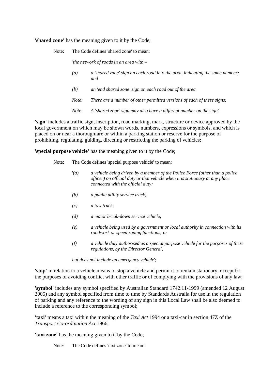**'shared zone'** has the meaning given to it by the Code;

Note: The Code defines 'shared zone' to mean:

*'the network of roads in an area with –*

- *(a) a 'shared zone' sign on each road into the area, indicating the same number; and*
- *(b) an 'end shared zone' sign on each road out of the area*
- *Note: There are a number of other permitted versions of each of these signs;*
- *Note: A 'shared zone' sign may also have a different number on the sign'.*

**'sign'** includes a traffic sign, inscription, road marking, mark, structure or device approved by the local government on which may be shown words, numbers, expressions or symbols, and which is placed on or near a thoroughfare or within a parking station or reserve for the purpose of prohibiting, regulating, guiding, directing or restricting the parking of vehicles;

**'special purpose vehicle'** has the meaning given to it by the Code;

Note: The Code defines 'special purpose vehicle' to mean:

- '*(a) a vehicle being driven by a member of the Police Force (other than a police officer) on official duty or that vehicle when it is stationary at any place connected with the official duty;*
- *(b) a public utility service truck;*
- *(c) a tow truck;*
- *(d) a motor break-down service vehicle;*
- *(e) a vehicle being used by a government or local authority in connection with its roadwork or speed zoning functions; or*
- *(f) a vehicle duly authorised as a special purpose vehicle for the purposes of these regulations, by the Director General,*

*but does not include an emergency vehicle*';

**'stop'** in relation to a vehicle means to stop a vehicle and permit it to remain stationary, except for the purposes of avoiding conflict with other traffic or of complying with the provisions of any law;

**'symbol'** includes any symbol specified by Australian Standard 1742.11-1999 (amended 12 August 2005) and any symbol specified from time to time by Standards Australia for use in the regulation of parking and any reference to the wording of any sign in this Local Law shall be also deemed to include a reference to the corresponding symbol;

**'taxi'** means a taxi within the meaning of the *Taxi Act* 1994 or a taxi-car in section 47Z of the *Transport Co-ordination Act* 1966;

**'taxi zone'** has the meaning given to it by the Code;

Note: The Code defines 'taxi zone' to mean: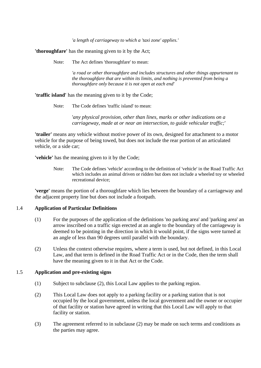*'a length of carriageway to which a 'taxi zone' applies.'*

**'thoroughfare'** has the meaning given to it by the Act;

Note: The Act defines 'thoroughfare' to mean:

*'a road or other thoroughfare and includes structures and other things appurtenant to the thoroughfare that are within its limits, and nothing is prevented from being a thoroughfare only because it is not open at each end'*

**'traffic island'** has the meaning given to it by the Code;

Note: The Code defines 'traffic island' to mean:

'*any physical provision, other than lines, marks or other indications on a carriageway, made at or near an intersection, to guide vehicular traffic;*'

**'trailer'** means any vehicle without motive power of its own, designed for attachment to a motor vehicle for the purpose of being towed, but does not include the rear portion of an articulated vehicle, or a side car;

**'vehicle'** has the meaning given to it by the Code;

Note: The Code defines 'vehicle' according to the definition of 'vehicle' in the Road Traffic Act which includes an animal driven or ridden but does not include a wheeled toy or wheeled recreational device;

**'verge'** means the portion of a thoroughfare which lies between the boundary of a carriageway and the adjacent property line but does not include a footpath.

#### 1.4 **Application of Particular Definitions**

- (1) For the purposes of the application of the definitions 'no parking area' and 'parking area' an arrow inscribed on a traffic sign erected at an angle to the boundary of the carriageway is deemed to be pointing in the direction in which it would point, if the signs were turned at an angle of less than 90 degrees until parallel with the boundary.
- (2) Unless the context otherwise requires, where a term is used, but not defined, in this Local Law, and that term is defined in the Road Traffic Act or in the Code, then the term shall have the meaning given to it in that Act or the Code.

#### 1.5 **Application and pre-existing signs**

- (1) Subject to subclause [\(2\),](#page-11-0) this Local Law applies to the parking region.
- <span id="page-11-0"></span>(2) This Local Law does not apply to a parking facility or a parking station that is not occupied by the local government, unless the local government and the owner or occupier of that facility or station have agreed in writing that this Local Law will apply to that facility or station.
- (3) The agreement referred to in subclause [\(2\)](#page-11-0) may be made on such terms and conditions as the parties may agree.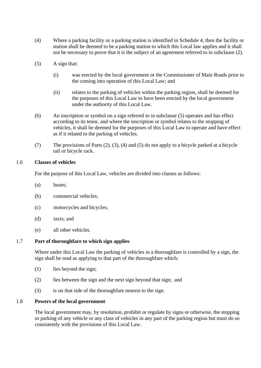- (4) Where a parking facility or a parking station is identified in Schedule 4, then the facility or station shall be deemed to be a parking station to which this Local law applies and it shall not be necessary to prove that it is the subject of an agreement referred to in subclause [\(2\).](#page-11-0)
- <span id="page-12-0"></span>(5) A sign that:
	- (i) was erected by the local government or the Commissioner of Main Roads prior to the coming into operation of this Local Law; and
	- (ii) relates to the parking of vehicles within the parking region, shall be deemed for the purposes of this Local Law to have been erected by the local government under the authority of this Local Law.
- (6) An inscription or symbol on a sign referred to in subclause [\(5\)](#page-12-0) operates and has effect according to its tenor, and where the inscription or symbol relates to the stopping of vehicles, it shall be deemed for the purposes of this Local Law to operate and have effect as if it related to the parking of vehicles.
- (7) The provisions of Parts (2), (3), (4) and (5) do not apply to a bicycle parked at a bicycle rail or bicycle rack.

## 1.6 **Classes of vehicles**

For the purpose of this Local Law, vehicles are divided into classes as follows:

- (a) buses;
- (b) commercial vehicles;
- (c) motorcycles and bicycles;
- (d) taxis; and
- (e) all other vehicles.

#### 1.7 **Part of thoroughfare to which sign applies**

Where under this Local Law the parking of vehicles in a thoroughfare is controlled by a sign, the sign shall be read as applying to that part of the thoroughfare which:

- (1) lies beyond the sign;
- (2) lies between the sign and the next sign beyond that sign; and
- (3) is on that side of the thoroughfare nearest to the sign.

#### 1.8 **Powers of the local government**

The local government may, by resolution, prohibit or regulate by signs or otherwise, the stopping or parking of any vehicle or any class of vehicles in any part of the parking region but must do so consistently with the provisions of this Local Law.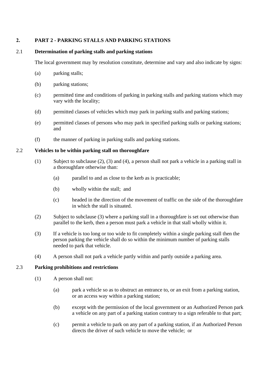## **2. PART 2 - PARKING STALLS AND PARKING STATIONS**

## 2.1 **Determination of parking stalls and parking stations**

The local government may by resolution constitute, determine and vary and also indicate by signs:

- (a) parking stalls;
- (b) parking stations;
- (c) permitted time and conditions of parking in parking stalls and parking stations which may vary with the locality;
- (d) permitted classes of vehicles which may park in parking stalls and parking stations;
- (e) permitted classes of persons who may park in specified parking stalls or parking stations; and
- (f) the manner of parking in parking stalls and parking stations.

## 2.2 **Vehicles to be within parking stall on thoroughfare**

- (1) Subject to subclause (2), (3) and (4), a person shall not park a vehicle in a parking stall in a thoroughfare otherwise than:
	- (a) parallel to and as close to the kerb as is practicable;
	- (b) wholly within the stall; and
	- (c) headed in the direction of the movement of traffic on the side of the thoroughfare in which the stall is situated.
- (2) Subject to subclause (3) where a parking stall in a thoroughfare is set out otherwise than parallel to the kerb, then a person must park a vehicle in that stall wholly within it.
- (3) If a vehicle is too long or too wide to fit completely within a single parking stall then the person parking the vehicle shall do so within the minimum number of parking stalls needed to park that vehicle.
- (4) A person shall not park a vehicle partly within and partly outside a parking area.

## 2.3 **Parking prohibitions and restrictions**

- (1) A person shall not:
	- (a) park a vehicle so as to obstruct an entrance to, or an exit from a parking station, or an access way within a parking station;
	- (b) except with the permission of the local government or an Authorized Person park a vehicle on any part of a parking station contrary to a sign referable to that part;
	- (c) permit a vehicle to park on any part of a parking station, if an Authorized Person directs the driver of such vehicle to move the vehicle; or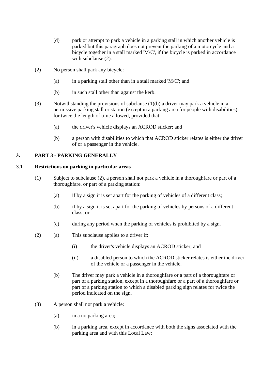- (d) park or attempt to park a vehicle in a parking stall in which another vehicle is parked but this paragraph does not prevent the parking of a motorcycle and a bicycle together in a stall marked 'M/C', if the bicycle is parked in accordance with subclause (2).
- (2) No person shall park any bicycle:
	- (a) in a parking stall other than in a stall marked 'M/C'; and
	- (b) in such stall other than against the kerb.
- (3) Notwithstanding the provisions of subclause (1)(b) a driver may park a vehicle in a permissive parking stall or station (except in a parking area for people with disabilities) for twice the length of time allowed, provided that:
	- (a) the driver's vehicle displays an ACROD sticker; and
	- (b) a person with disabilities to which that ACROD sticker relates is either the driver of or a passenger in the vehicle.

## **3. PART 3 - PARKING GENERALLY**

## 3.1 **Restrictions on parking in particular areas**

- (1) Subject to subclause (2), a person shall not park a vehicle in a thoroughfare or part of a thoroughfare, or part of a parking station:
	- (a) if by a sign it is set apart for the parking of vehicles of a different class;
	- (b) if by a sign it is set apart for the parking of vehicles by persons of a different class; or
	- (c) during any period when the parking of vehicles is prohibited by a sign.
- (2) (a) This subclause applies to a driver if:
	- (i) the driver's vehicle displays an ACROD sticker; and
	- (ii) a disabled person to which the ACROD sticker relates is either the driver of the vehicle or a passenger in the vehicle.
	- (b) The driver may park a vehicle in a thoroughfare or a part of a thoroughfare or part of a parking station, except in a thoroughfare or a part of a thoroughfare or part of a parking station to which a disabled parking sign relates for twice the period indicated on the sign.
- (3) A person shall not park a vehicle:
	- (a) in a no parking area;
	- (b) in a parking area, except in accordance with both the signs associated with the parking area and with this Local Law;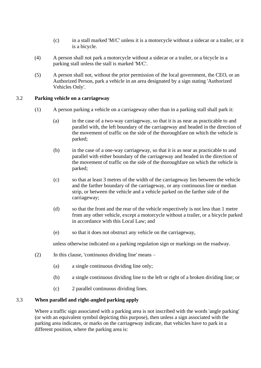- (c) in a stall marked 'M/C' unless it is a motorcycle without a sidecar or a trailer, or it is a bicycle.
- (4) A person shall not park a motorcycle without a sidecar or a trailer, or a bicycle in a parking stall unless the stall is marked 'M/C'.
- (5) A person shall not, without the prior permission of the local government, the CEO, or an Authorized Person, park a vehicle in an area designated by a sign stating 'Authorized Vehicles Only'.

## 3.2 **Parking vehicle on a carriageway**

- (1) A person parking a vehicle on a carriageway other than in a parking stall shall park it:
	- (a) in the case of a two-way carriageway, so that it is as near as practicable to and parallel with, the left boundary of the carriageway and headed in the direction of the movement of traffic on the side of the thoroughfare on which the vehicle is parked;
	- (b) in the case of a one-way carriageway, so that it is as near as practicable to and parallel with either boundary of the carriageway and headed in the direction of the movement of traffic on the side of the thoroughfare on which the vehicle is parked;
	- (c) so that at least 3 metres of the width of the carriageway lies between the vehicle and the farther boundary of the carriageway, or any continuous line or median strip, or between the vehicle and a vehicle parked on the farther side of the carriageway;
	- (d) so that the front and the rear of the vehicle respectively is not less than 1 metre from any other vehicle, except a motorcycle without a trailer, or a bicycle parked in accordance with this Local Law; and
	- (e) so that it does not obstruct any vehicle on the carriageway,

unless otherwise indicated on a parking regulation sign or markings on the roadway.

- (2) In this clause, 'continuous dividing line' means
	- (a) a single continuous dividing line only;
	- (b) a single continuous dividing line to the left or right of a broken dividing line; or
	- (c) 2 parallel continuous dividing lines.

## 3.3 **When parallel and right-angled parking apply**

Where a traffic sign associated with a parking area is not inscribed with the words 'angle parking' (or with an equivalent symbol depicting this purpose), then unless a sign associated with the parking area indicates, or marks on the carriageway indicate, that vehicles have to park in a different position, where the parking area is: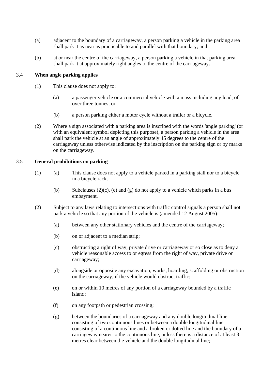- (a) adjacent to the boundary of a carriageway, a person parking a vehicle in the parking area shall park it as near as practicable to and parallel with that boundary; and
- (b) at or near the centre of the carriageway, a person parking a vehicle in that parking area shall park it at approximately right angles to the centre of the carriageway.

## 3.4 **When angle parking applies**

- (1) This clause does not apply to:
	- (a) a passenger vehicle or a commercial vehicle with a mass including any load, of over three tonnes; or
	- (b) a person parking either a motor cycle without a trailer or a bicycle.
- (2) Where a sign associated with a parking area is inscribed with the words 'angle parking' (or with an equivalent symbol depicting this purpose), a person parking a vehicle in the area shall park the vehicle at an angle of approximately 45 degrees to the centre of the carriageway unless otherwise indicated by the inscription on the parking sign or by marks on the carriageway.

## 3.5 **General prohibitions on parking**

- (1) (a) This clause does not apply to a vehicle parked in a parking stall nor to a bicycle in a bicycle rack.
	- (b) Subclauses  $(2)(c)$ ,  $(e)$  and  $(g)$  do not apply to a vehicle which parks in a bus embayment.
- (2) Subject to any laws relating to intersections with traffic control signals a person shall not park a vehicle so that any portion of the vehicle is (amended 12 August 2005):
	- (a) between any other stationary vehicles and the centre of the carriageway;
	- (b) on or adjacent to a median strip;
	- (c) obstructing a right of way, private drive or carriageway or so close as to deny a vehicle reasonable access to or egress from the right of way, private drive or carriageway;
	- (d) alongside or opposite any excavation, works, hoarding, scaffolding or obstruction on the carriageway, if the vehicle would obstruct traffic;
	- (e) on or within 10 metres of any portion of a carriageway bounded by a traffic island;
	- (f) on any footpath or pedestrian crossing;
	- (g) between the boundaries of a carriageway and any double longitudinal line consisting of two continuous lines or between a double longitudinal line consisting of a continuous line and a broken or dotted line and the boundary of a carriageway nearer to the continuous line, unless there is a distance of at least 3 metres clear between the vehicle and the double longitudinal line;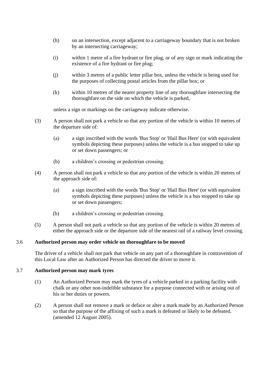- (h) on an intersection, except adjacent to a carriageway boundary that is not broken by an intersecting carriageway;
- (i) within 1 metre of a fire hydrant or fire plug, or of any sign or mark indicating the existence of a fire hydrant or fire plug;
- (j) within 3 metres of a public letter pillar box, unless the vehicle is being used for the purposes of collecting postal articles from the pillar box; or
- (k) within 10 metres of the nearer property line of any thoroughfare intersecting the thoroughfare on the side on which the vehicle is parked,

unless a sign or markings on the carriageway indicate otherwise.

- (3) A person shall not park a vehicle so that any portion of the vehicle is within 10 metres of the departure side of:
	- (a) a sign inscribed with the words 'Bus Stop' or 'Hail Bus Here' (or with equivalent symbols depicting these purposes) unless the vehicle is a bus stopped to take up or set down passengers; or
	- (b) a children's crossing or pedestrian crossing.
- (4) A person shall not park a vehicle so that any portion of the vehicle is within 20 metres of the approach side of:
	- (a) a sign inscribed with the words 'Bus Stop' or 'Hail Bus Here' (or with equivalent symbols depicting these purposes) unless the vehicle is a bus stopped to take up or set down passengers;
	- (b) a children's crossing or pedestrian crossing.
- (5) A person shall not park a vehicle so that any portion of the vehicle is within 20 metres of either the approach side or the departure side of the nearest rail of a railway level crossing.

## 3.6 **Authorized person may order vehicle on thoroughfare to be moved**

The driver of a vehicle shall not park that vehicle on any part of a thoroughfare in contravention of this Local Law after an Authorized Person has directed the driver to move it.

## 3.7 **Authorized person may mark tyres**

- (1) An Authorized Person may mark the tyres of a vehicle parked in a parking facility with chalk or any other non-indelible substance for a purpose connected with or arising out of his or her duties or powers.
- (2) A person shall not remove a mark or deface or alter a mark made by an Authorized Person so that the purpose of the affixing of such a mark is defeated or likely to be defeated. (amended 12 August 2005).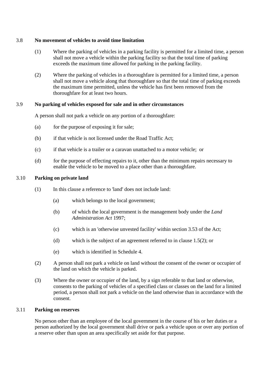## 3.8 **No movement of vehicles to avoid time limitation**

- (1) Where the parking of vehicles in a parking facility is permitted for a limited time, a person shall not move a vehicle within the parking facility so that the total time of parking exceeds the maximum time allowed for parking in the parking facility.
- (2) Where the parking of vehicles in a thoroughfare is permitted for a limited time, a person shall not move a vehicle along that thoroughfare so that the total time of parking exceeds the maximum time permitted, unless the vehicle has first been removed from the thoroughfare for at least two hours.

## 3.9 **No parking of vehicles exposed for sale and in other circumstances**

A person shall not park a vehicle on any portion of a thoroughfare:

- (a) for the purpose of exposing it for sale;
- (b) if that vehicle is not licensed under the Road Traffic Act;
- (c) if that vehicle is a trailer or a caravan unattached to a motor vehicle; or
- (d) for the purpose of effecting repairs to it, other than the minimum repairs necessary to enable the vehicle to be moved to a place other than a thoroughfare.

#### 3.10 **Parking on private land**

- (1) In this clause a reference to 'land' does not include land:
	- (a) which belongs to the local government;
	- (b) of which the local government is the management body under the *Land Administration Act* 1997;
	- (c) which is an 'otherwise unvested facility' within section 3.53 of the Act;
	- (d) which is the subject of an agreement referred to in clause 1.5(2); or
	- (e) which is identified in Schedule 4.
- (2) A person shall not park a vehicle on land without the consent of the owner or occupier of the land on which the vehicle is parked.
- (3) Where the owner or occupier of the land, by a sign referable to that land or otherwise, consents to the parking of vehicles of a specified class or classes on the land for a limited period, a person shall not park a vehicle on the land otherwise than in accordance with the consent.

#### 3.11 **Parking on reserves**

No person other than an employee of the local government in the course of his or her duties or a person authorized by the local government shall drive or park a vehicle upon or over any portion of a reserve other than upon an area specifically set aside for that purpose.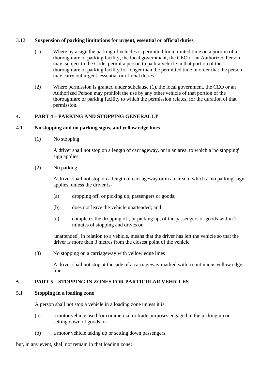## <span id="page-19-0"></span>3.12 **Suspension of parking limitations for urgent, essential or official duties**

- (1) Where by a sign the parking of vehicles is permitted for a limited time on a portion of a thoroughfare or parking facility, the local government, the CEO or an Authorized Person may, subject to the Code, permit a person to park a vehicle in that portion of the thoroughfare or parking facility for longer than the permitted time in order that the person may carry out urgent, essential or official duties.
- (2) Where permission is granted under subclause [\(1\),](#page-19-0) the local government, the CEO or an Authorized Person may prohibit the use by any other vehicle of that portion of the thoroughfare or parking facility to which the permission relates, for the duration of that permission.

## **4. PART 4 – PARKING AND STOPPING GENERALLY**

#### 4.1 **No stopping and no parking signs, and yellow edge lines**

(1) No stopping

A driver shall not stop on a length of carriageway, or in an area, to which a 'no stopping' sign applies.

(2) No parking

A driver shall not stop on a length of carriageway or in an area to which a 'no parking' sign applies, unless the driver is-

- (a) dropping off, or picking up, passengers or goods;
- (b) does not leave the vehicle unattended; and
- (c) completes the dropping off, or picking up, of the passengers or goods within 2 minutes of stopping and drives on.

'unattended', in relation to a vehicle, means that the driver has left the vehicle so that the driver is more than 3 metres from the closest point of the vehicle.

(3) No stopping on a carriageway with yellow edge lines

A driver shall not stop at the side of a carriageway marked with a continuous yellow edge line.

## **5. PART 5 – STOPPING IN ZONES FOR PARTICULAR VEHICLES**

#### 5.1 **Stopping in a loading zone**

A person shall not stop a vehicle in a loading zone unless it is:

- (a) a motor vehicle used for commercial or trade purposes engaged in the picking up or setting down of goods; or
- (b) a motor vehicle taking up or setting down passengers,

but, in any event, shall not remain in that loading zone: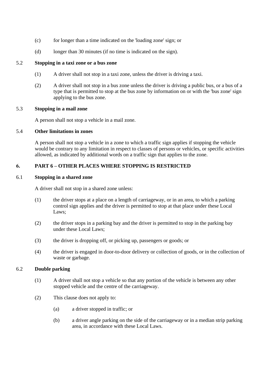- (c) for longer than a time indicated on the 'loading zone' sign; or
- (d) longer than 30 minutes (if no time is indicated on the sign).

## 5.2 **Stopping in a taxi zone or a bus zone**

- (1) A driver shall not stop in a taxi zone, unless the driver is driving a taxi.
- (2) A driver shall not stop in a bus zone unless the driver is driving a public bus, or a bus of a type that is permitted to stop at the bus zone by information on or with the 'bus zone' sign applying to the bus zone.

#### 5.3 **Stopping in a mail zone**

A person shall not stop a vehicle in a mail zone.

### 5.4 **Other limitations in zones**

A person shall not stop a vehicle in a zone to which a traffic sign applies if stopping the vehicle would be contrary to any limitation in respect to classes of persons or vehicles, or specific activities allowed, as indicated by additional words on a traffic sign that applies to the zone.

## **6. PART 6 – OTHER PLACES WHERE STOPPING IS RESTRICTED**

#### 6.1 **Stopping in a shared zone**

A driver shall not stop in a shared zone unless:

- (1) the driver stops at a place on a length of carriageway, or in an area, to which a parking control sign applies and the driver is permitted to stop at that place under these Local Laws;
- (2) the driver stops in a parking bay and the driver is permitted to stop in the parking bay under these Local Laws;
- (3) the driver is dropping off, or picking up, passengers or goods; or
- (4) the driver is engaged in door-to-door delivery or collection of goods, or in the collection of waste or garbage.

#### 6.2 **Double parking**

- (1) A driver shall not stop a vehicle so that any portion of the vehicle is between any other stopped vehicle and the centre of the carriageway.
- (2) This clause does not apply to:
	- (a) a driver stopped in traffic; or
	- (b) a driver angle parking on the side of the carriageway or in a median strip parking area, in accordance with these Local Laws.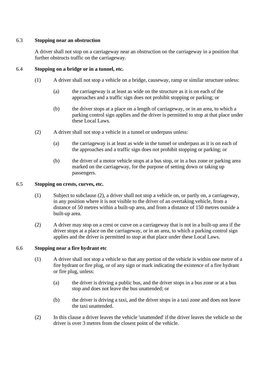## 6.3 **Stopping near an obstruction**

A driver shall not stop on a carriageway near an obstruction on the carriageway in a position that further obstructs traffic on the carriageway.

## 6.4 **Stopping on a bridge or in a tunnel, etc.**

- (1) A driver shall not stop a vehicle on a bridge, causeway, ramp or similar structure unless:
	- (a) the carriageway is at least as wide on the structure as it is on each of the approaches and a traffic sign does not prohibit stopping or parking; or
	- (b) the driver stops at a place on a length of carriageway, or in an area, to which a parking control sign applies and the driver is permitted to stop at that place under these Local Laws.
- (2) A driver shall not stop a vehicle in a tunnel or underpass unless:
	- (a) the carriageway is at least as wide in the tunnel or underpass as it is on each of the approaches and a traffic sign does not prohibit stopping or parking; or
	- (b) the driver of a motor vehicle stops at a bus stop, or in a bus zone or parking area marked on the carriageway, for the purpose of setting down or taking up passengers.

#### 6.5 **Stopping on crests, curves, etc.**

- (1) Subject to subclause (2), a driver shall not stop a vehicle on, or partly on, a carriageway, in any position where it is not visible to the driver of an overtaking vehicle, from a distance of 50 metres within a built-up area, and from a distance of 150 metres outside a built-up area.
- (2) A driver may stop on a crest or curve on a carriageway that is not in a built-up area if the driver stops at a place on the carriageway, or in an area, to which a parking control sign applies and the driver is permitted to stop at that place under these Local Laws.

#### 6.6 **Stopping near a fire hydrant etc**

- (1) A driver shall not stop a vehicle so that any portion of the vehicle is within one metre of a fire hydrant or fire plug, or of any sign or mark indicating the existence of a fire hydrant or fire plug, unless:
	- (a) the driver is driving a public bus, and the driver stops in a bus zone or at a bus stop and does not leave the bus unattended; or
	- (b) the driver is driving a taxi, and the driver stops in a taxi zone and does not leave the taxi unattended.
- (2) In this clause a driver leaves the vehicle 'unattended' if the driver leaves the vehicle so the driver is over 3 metres from the closest point of the vehicle.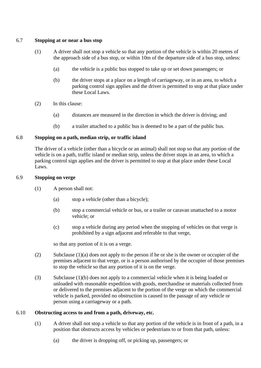## 6.7 **Stopping at or near a bus stop**

- (1) A driver shall not stop a vehicle so that any portion of the vehicle is within 20 metres of the approach side of a bus stop, or within 10m of the departure side of a bus stop, unless:
	- (a) the vehicle is a public bus stopped to take up or set down passengers; or
	- (b) the driver stops at a place on a length of carriageway, or in an area, to which a parking control sign applies and the driver is permitted to stop at that place under these Local Laws.
- (2) In this clause:
	- (a) distances are measured in the direction in which the driver is driving; and
	- (b) a trailer attached to a public bus is deemed to be a part of the public bus.

## 6.8 **Stopping on a path, median strip, or traffic island**

The driver of a vehicle (other than a bicycle or an animal) shall not stop so that any portion of the vehicle is on a path, traffic island or median strip, unless the driver stops in an area, to which a parking control sign applies and the driver is permitted to stop at that place under these Local Laws.

#### 6.9 **Stopping on verge**

- (1) A person shall not:
	- (a) stop a vehicle (other than a bicycle);
	- (b) stop a commercial vehicle or bus, or a trailer or caravan unattached to a motor vehicle; or
	- (c) stop a vehicle during any period when the stopping of vehicles on that verge is prohibited by a sign adjacent and referable to that verge,

so that any portion of it is on a verge.

- (2) Subclause (1)(a) does not apply to the person if he or she is the owner or occupier of the premises adjacent to that verge, or is a person authorised by the occupier of those premises to stop the vehicle so that any portion of it is on the verge.
- (3) Subclause (1)(b) does not apply to a commercial vehicle when it is being loaded or unloaded with reasonable expedition with goods, merchandise or materials collected from or delivered to the premises adjacent to the portion of the verge on which the commercial vehicle is parked, provided no obstruction is caused to the passage of any vehicle or person using a carriageway or a path.

#### 6.10 **Obstructing access to and from a path, driveway, etc.**

- (1) A driver shall not stop a vehicle so that any portion of the vehicle is in front of a path, in a position that obstructs access by vehicles or pedestrians to or from that path, unless:
	- (a) the driver is dropping off, or picking up, passengers; or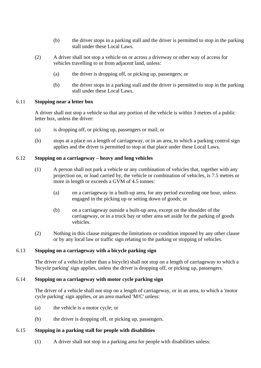- (b) the driver stops in a parking stall and the driver is permitted to stop in the parking stall under these Local Laws.
- (2) A driver shall not stop a vehicle on or across a driveway or other way of access for vehicles travelling to or from adjacent land, unless:
	- (a) the driver is dropping off, or picking up, passengers; or
	- (b) the driver stops in a parking stall and the driver is permitted to stop in the parking stall under these Local Laws.

#### 6.11 **Stopping near a letter box**

A driver shall not stop a vehicle so that any portion of the vehicle is within 3 metres of a public letter box, unless the driver:

- (a) is dropping off, or picking up, passengers or mail; or
- (b) stops at a place on a length of carriageway, or in an area, to which a parking control sign applies and the driver is permitted to stop at that place under these Local Laws.

## 6.12 **Stopping on a carriageway – heavy and long vehicles**

- (1) A person shall not park a vehicle or any combination of vehicles that, together with any projection on, or load carried by, the vehicle or combination of vehicles, is 7.5 metres or more in length or exceeds a GVM of 4.5 tonnes:
	- (a) on a carriageway in a built-up area, for any period exceeding one hour, unless engaged in the picking up or setting down of goods; or
	- (b) on a carriageway outside a built-up area, except on the shoulder of the carriageway, or in a truck bay or other area set aside for the parking of goods vehicles.
- (2) Nothing in this clause mitigates the limitations or condition imposed by any other clause or by any local law or traffic sign relating to the parking or stopping of vehicles.

## 6.13 **Stopping on a carriageway with a bicycle parking sign**

The driver of a vehicle (other than a bicycle) shall not stop on a length of carriageway to which a 'bicycle parking' sign applies, unless the driver is dropping off, or picking up, passengers.

#### 6.14 **Stopping on a carriageway with motor cycle parking sign**

The driver of a vehicle shall not stop on a length of carriageway, or in an area, to which a 'motor cycle parking' sign applies, or an area marked 'M/C' unless:

- (a) the vehicle is a motor cycle; or
- (b) the driver is dropping off, or picking up, passengers.

#### 6.15 **Stopping in a parking stall for people with disabilities**

(1) A driver shall not stop in a parking area for people with disabilities unless: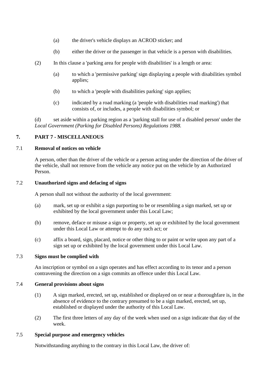- (a) the driver's vehicle displays an ACROD sticker; and
- (b) either the driver or the passenger in that vehicle is a person with disabilities.
- (2) In this clause a 'parking area for people with disabilities' is a length or area:
	- (a) to which a 'permissive parking' sign displaying a people with disabilities symbol applies;
	- (b) to which a 'people with disabilities parking' sign applies;
	- (c) indicated by a road marking (a 'people with disabilities road marking') that consists of, or includes, a people with disabilities symbol; or

(d) set aside within a parking region as a 'parking stall for use of a disabled person' under the *Local Government (Parking for Disabled Persons) Regulations 1988.*

## **7. PART 7 - MISCELLANEOUS**

#### 7.1 **Removal of notices on vehicle**

A person, other than the driver of the vehicle or a person acting under the direction of the driver of the vehicle, shall not remove from the vehicle any notice put on the vehicle by an Authorized Person.

## 7.2 **Unauthorized signs and defacing of signs**

A person shall not without the authority of the local government:

- (a) mark, set up or exhibit a sign purporting to be or resembling a sign marked, set up or exhibited by the local government under this Local Law;
- (b) remove, deface or misuse a sign or property, set up or exhibited by the local government under this Local Law or attempt to do any such act; or
- (c) affix a board, sign, placard, notice or other thing to or paint or write upon any part of a sign set up or exhibited by the local government under this Local Law.

### 7.3 **Signs must be complied with**

An inscription or symbol on a sign operates and has effect according to its tenor and a person contravening the direction on a sign commits an offence under this Local Law.

#### 7.4 **General provisions about signs**

- (1) A sign marked, erected, set up, established or displayed on or near a thoroughfare is, in the absence of evidence to the contrary presumed to be a sign marked, erected, set up, established or displayed under the authority of this Local Law.
- (2) The first three letters of any day of the week when used on a sign indicate that day of the week.

#### 7.5 **Special purpose and emergency vehicles**

Notwithstanding anything to the contrary in this Local Law, the driver of: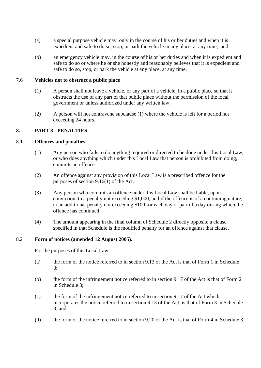- (a) a special purpose vehicle may, only in the course of his or her duties and when it is expedient and safe to do so, stop, or park the vehicle in any place, at any time; and
- (b) an emergency vehicle may, in the course of his or her duties and when it is expedient and safe to do so or where he or she honestly and reasonably believes that it is expedient and safe to do so, stop, or park the vehicle at any place, at any time.

### 7.6 **Vehicles not to obstruct a public place**

- (1) A person shall not leave a vehicle, or any part of a vehicle, in a public place so that it obstructs the use of any part of that public place without the permission of the local government or unless authorized under any written law.
- (2) A person will not contravene subclause (1) where the vehicle is left for a period not exceeding 24 hours.

## **8. PART 8 - PENALTIES**

## 8.1 **Offences and penalties**

- (1) Any person who fails to do anything required or directed to be done under this Local Law, or who does anything which under this Local Law that person is prohibited from doing, commits an offence.
- (2) An offence against any provision of this Local Law is a prescribed offence for the purposes of section 9.16(1) of the Act.
- (3) Any person who commits an offence under this Local Law shall be liable, upon conviction, to a penalty not exceeding \$1,000, and if the offence is of a continuing nature, to an additional penalty not exceeding \$100 for each day or part of a day during which the offence has continued.
- (4) The amount appearing in the final column of Schedule 2 directly opposite a clause specified in that Schedule is the modified penalty for an offence against that clause.

#### 8.2 **Form of notices (amended 12 August 2005).**

For the purposes of this Local Law:

- (a) the form of the notice referred to in section 9.13 of the Act is that of Form 1 in Schedule 3;
- (b) the form of the infringement notice referred to in section 9.17 of the Act is that of Form 2 in Schedule 3;
- (c) the form of the infringement notice referred to in section 9.17 of the Act which incorporates the notice referred to in section 9.13 of the Act, is that of Form 3 in Schedule 3; and
- (d) the form of the notice referred to in section 9.20 of the Act is that of Form 4 in Schedule 3.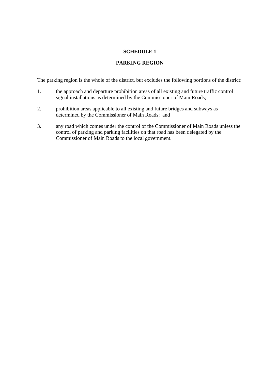## **PARKING REGION**

The parking region is the whole of the district, but excludes the following portions of the district:

- 1. the approach and departure prohibition areas of all existing and future traffic control signal installations as determined by the Commissioner of Main Roads;
- 2. prohibition areas applicable to all existing and future bridges and subways as determined by the Commissioner of Main Roads; and
- 3. any road which comes under the control of the Commissioner of Main Roads unless the control of parking and parking facilities on that road has been delegated by the Commissioner of Main Roads to the local government.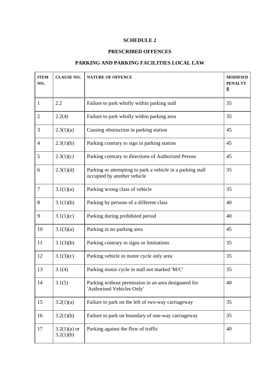# **PRESCRIBED OFFENCES**

# **PARKING AND PARKING FACILITIES LOCAL LAW**

| <b>ITEM</b><br>NO. | <b>CLAUSE NO.</b>           | <b>NATURE OF OFFENCE</b>                                                                  | <b>MODIFIED</b><br><b>PENALTY</b><br>\$ |
|--------------------|-----------------------------|-------------------------------------------------------------------------------------------|-----------------------------------------|
| $\mathbf{1}$       | 2.2                         | Failure to park wholly within parking stall                                               | 35                                      |
| $\overline{2}$     | 2.2(4)                      | Failure to park wholly within parking area                                                | 35                                      |
| 3                  | 2.3(1)(a)                   | Causing obstruction in parking station                                                    | 45                                      |
| $\overline{4}$     | 2.3(1)(b)                   | Parking contrary to sign in parking station                                               | 45                                      |
| 5                  | 2.3(1)(c)                   | Parking contrary to directions of Authorized Person                                       | 45                                      |
| 6                  | 2.3(1)(d)                   | Parking or attempting to park a vehicle in a parking stall<br>occupied by another vehicle | 35                                      |
| $\overline{7}$     | 3.1(1)(a)                   | Parking wrong class of vehicle                                                            | 35                                      |
| 8                  | 3.1(1)(b)                   | Parking by persons of a different class                                                   | 40                                      |
| 9                  | 3.1(1)(c)                   | Parking during prohibited period                                                          | 40                                      |
| 10                 | 3.1(3)(a)                   | Parking in no parking area                                                                | 45                                      |
| 11                 | 3.1(3)(b)                   | Parking contrary to signs or limitations                                                  | 35                                      |
| 12                 | 3.1(3)(c)                   | Parking vehicle in motor cycle only area                                                  | 35                                      |
| 13                 | 3.1(4)                      | Parking motor cycle in stall not marked 'M/C'                                             | 35                                      |
| 14                 | 3.1(5)                      | Parking without permission in an area designated for<br>'Authorised Vehicles Only'        | 40                                      |
| 15                 | 3.2(1)(a)                   | Failure to park on the left of two-way carriageway                                        | 35                                      |
| 16                 | 3.2(1)(b)                   | Failure to park on boundary of one-way carriageway                                        | 35                                      |
| 17                 | $3.2(1)(a)$ or<br>3.2(1)(b) | Parking against the flow of traffic                                                       | 40                                      |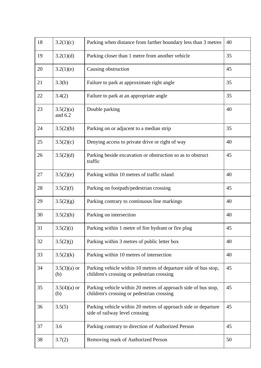| 18 | 3.2(1)(c)              | Parking when distance from farther boundary less than 3 metres                                                | 40 |
|----|------------------------|---------------------------------------------------------------------------------------------------------------|----|
| 19 | 3.2(1)(d)              | Parking closer than 1 metre from another vehicle                                                              | 35 |
| 20 | 3.2(1)(e)              | Causing obstruction                                                                                           | 45 |
| 21 | 3.3(b)                 | Failure to park at approximate right angle                                                                    | 35 |
| 22 | 3.4(2)                 | Failure to park at an appropriate angle                                                                       | 35 |
| 23 | 3.5(2)(a)<br>and $6.2$ | Double parking                                                                                                | 40 |
| 24 | 3.5(2)(b)              | Parking on or adjacent to a median strip                                                                      | 35 |
| 25 | 3.5(2)(c)              | Denying access to private drive or right of way                                                               | 40 |
| 26 | 3.5(2)(d)              | Parking beside excavation or obstruction so as to obstruct<br>traffic                                         | 45 |
| 27 | 3.5(2)(e)              | Parking within 10 metres of traffic island                                                                    | 40 |
| 28 | 3.5(2)(f)              | Parking on footpath/pedestrian crossing                                                                       | 45 |
| 29 | 3.5(2)(g)              | Parking contrary to continuous line markings                                                                  | 40 |
| 30 | 3.5(2)(h)              | Parking on intersection                                                                                       | 40 |
| 31 | 3.5(2)(i)              | Parking within 1 metre of fire hydrant or fire plug                                                           | 45 |
| 32 | 3.5(2)(j)              | Parking within 3 metres of public letter box                                                                  | 40 |
| 33 | 3.5(2)(k)              | Parking within 10 metres of intersection                                                                      | 40 |
| 34 | $3.5(3)(a)$ or<br>(b)  | Parking vehicle within 10 metres of departure side of bus stop,<br>children's crossing or pedestrian crossing | 45 |
| 35 | $3.5(4)(a)$ or<br>(b)  | Parking vehicle within 20 metres of approach side of bus stop,<br>children's crossing or pedestrian crossing  | 45 |
| 36 | 3.5(5)                 | Parking vehicle within 20 metres of approach side or departure<br>side of railway level crossing              | 45 |
| 37 | 3.6                    | Parking contrary to direction of Authorized Person                                                            | 45 |
| 38 | 3.7(2)                 | Removing mark of Authorized Person                                                                            | 50 |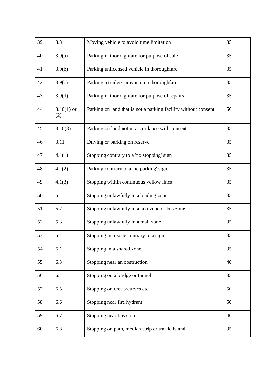| 39 | 3.8                 | Moving vehicle to avoid time limitation                        | 35 |
|----|---------------------|----------------------------------------------------------------|----|
| 40 | 3.9(a)              | Parking in thoroughfare for purpose of sale                    | 35 |
| 41 | 3.9(b)              | Parking unlicensed vehicle in thoroughfare                     | 35 |
| 42 | 3.9(c)              | Parking a trailer/caravan on a thoroughfare                    | 35 |
| 43 | 3.9(d)              | Parking in thoroughfare for purpose of repairs                 | 35 |
| 44 | $3.10(1)$ or<br>(2) | Parking on land that is not a parking facility without consent | 50 |
| 45 | 3.10(3)             | Parking on land not in accordance with consent                 | 35 |
| 46 | 3.11                | Driving or parking on reserve                                  | 35 |
| 47 | 4.1(1)              | Stopping contrary to a 'no stopping' sign                      | 35 |
| 48 | 4.1(2)              | Parking contrary to a 'no parking' sign                        | 35 |
| 49 | 4.1(3)              | Stopping within continuous yellow lines                        | 35 |
| 50 | 5.1                 | Stopping unlawfully in a loading zone                          | 35 |
| 51 | 5.2                 | Stopping unlawfully in a taxi zone or bus zone                 | 35 |
| 52 | 5.3                 | Stopping unlawfully in a mail zone                             | 35 |
| 53 | 5.4                 | Stopping in a zone contrary to a sign                          | 35 |
| 54 | 6.1                 | Stopping in a shared zone                                      | 35 |
| 55 | 6.3                 | Stopping near an obstruction                                   | 40 |
| 56 | 6.4                 | Stopping on a bridge or tunnel                                 | 35 |
| 57 | 6.5                 | Stopping on crests/curves etc                                  | 50 |
| 58 | 6.6                 | Stopping near fire hydrant                                     | 50 |
| 59 | 6.7                 | Stopping near bus stop                                         | 40 |
| 60 | 6.8                 | Stopping on path, median strip or traffic island               | 35 |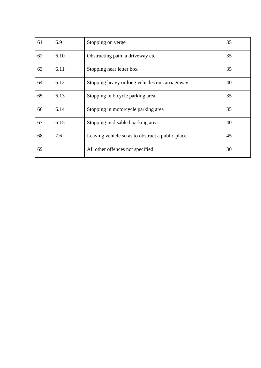| 61 | 6.9  | Stopping on verge                                | 35 |
|----|------|--------------------------------------------------|----|
| 62 | 6.10 | Obstructing path, a driveway etc.                | 35 |
| 63 | 6.11 | Stopping near letter box                         | 35 |
| 64 | 6.12 | Stopping heavy or long vehicles on carriageway   | 40 |
| 65 | 6.13 | Stopping in bicycle parking area                 | 35 |
| 66 | 6.14 | Stopping in motorcycle parking area              | 35 |
| 67 | 6.15 | Stopping in disabled parking area                | 40 |
| 68 | 7.6  | Leaving vehicle so as to obstruct a public place | 45 |
| 69 |      | All other offences not specified                 | 30 |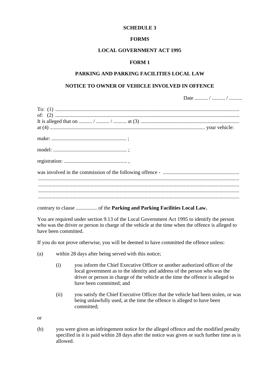#### **FORMS**

#### **LOCAL GOVERNMENT ACT 1995**

#### **FORM 1**

#### **PARKING AND PARKING FACILITIES LOCAL LAW**

#### **NOTICE TO OWNER OF VEHICLE INVOLVED IN OFFENCE**

Date .......... / .......... / ..........

You are required under section 9.13 of the Local Government Act 1995 to identify the person who was the driver or person in charge of the vehicle at the time when the offence is alleged to have been committed.

If you do not prove otherwise, you will be deemed to have committed the offence unless:

- (a) within 28 days after being served with this notice;
	- (i) you inform the Chief Executive Officer or another authorized officer of the local government as to the identity and address of the person who was the driver or person in charge of the vehicle at the time the offence is alleged to have been committed; and
	- (ii) you satisfy the Chief Executive Officer that the vehicle had been stolen, or was being unlawfully used, at the time the offence is alleged to have been committed;

or

(b) you were given an infringement notice for the alleged offence and the modified penalty specified in it is paid within 28 days after the notice was given or such further time as is allowed.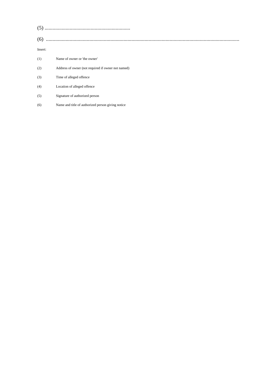#### Insert:

| (1) | Name of owner or 'the owner'                       |
|-----|----------------------------------------------------|
| (2) | Address of owner (not required if owner not named) |
| (3) | Time of alleged offence.                           |
| (4) | Location of alleged offence                        |
| (5) | Signature of authorized person                     |
| (6) | Name and title of authorized person giving notice  |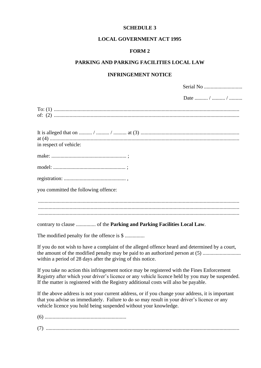#### **LOCAL GOVERNMENT ACT 1995**

## **FORM 2**

## **PARKING AND PARKING FACILITIES LOCAL LAW**

## **INFRINGEMENT NOTICE**

Serial No.

| Date  /  /                                 |
|--------------------------------------------|
|                                            |
| in respect of vehicle:                     |
|                                            |
|                                            |
|                                            |
| you committed the following offence:       |
|                                            |
|                                            |
| The modified penalty for the offence is \$ |

If you do not wish to have a complaint of the alleged offence heard and determined by a court, the amount of the modified penalty may be paid to an authorized person at (5) ................................ within a period of 28 days after the giving of this notice.

If you take no action this infringement notice may be registered with the Fines Enforcement Registry after which your driver's licence or any vehicle licence held by you may be suspended. If the matter is registered with the Registry additional costs will also be payable.

If the above address is not your current address, or if you change your address, it is important that you advise us immediately. Failure to do so may result in your driver's licence or any vehicle licence you hold being suspended without your knowledge.

(6) ..............................................................

(7) ...................................................................................................................................................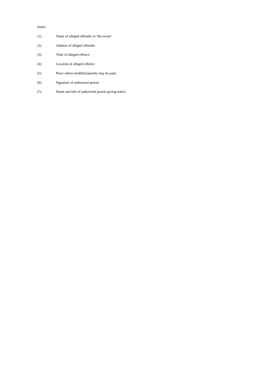#### Insert:

| (1) | Name of alleged offender or 'the owner'  |
|-----|------------------------------------------|
| (2) | Address of alleged offender              |
| (3) | Time of alleged offence                  |
| (4) | Location of alleged offence              |
| (5) | Place where modified penalty may be paid |
| (6) | Signature of authorized person           |
|     |                                          |

(7) Name and title of authorized person giving notice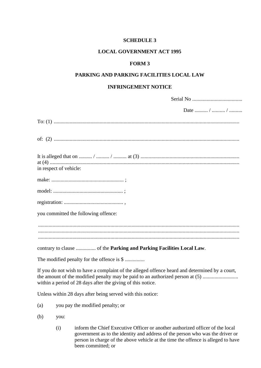## **LOCAL GOVERNMENT ACT 1995**

#### **FORM 3**

## **PARKING AND PARKING FACILITIES LOCAL LAW**

### **INFRINGEMENT NOTICE**

|                                                                                                                                                                                                                                                | Date  /  / |
|------------------------------------------------------------------------------------------------------------------------------------------------------------------------------------------------------------------------------------------------|------------|
|                                                                                                                                                                                                                                                |            |
|                                                                                                                                                                                                                                                |            |
| in respect of vehicle:                                                                                                                                                                                                                         |            |
|                                                                                                                                                                                                                                                |            |
|                                                                                                                                                                                                                                                |            |
|                                                                                                                                                                                                                                                |            |
| you committed the following offence:                                                                                                                                                                                                           |            |
|                                                                                                                                                                                                                                                |            |
|                                                                                                                                                                                                                                                |            |
| The modified penalty for the offence is \$                                                                                                                                                                                                     |            |
| If you do not wish to have a complaint of the alleged offence heard and determined by a court,<br>the amount of the modified penalty may be paid to an authorized person at (5)<br>within a period of 28 days after the giving of this notice. |            |
|                                                                                                                                                                                                                                                |            |

Unless within 28 days after being served with this notice:

- (a) you pay the modified penalty; or
- (b) you:
	- (i) inform the Chief Executive Officer or another authorized officer of the local government as to the identity and address of the person who was the driver or person in charge of the above vehicle at the time the offence is alleged to have been committed; or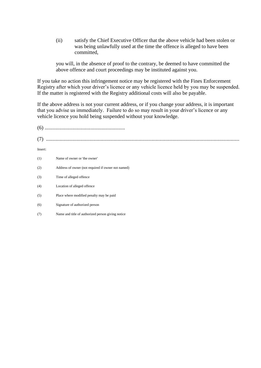(ii) satisfy the Chief Executive Officer that the above vehicle had been stolen or was being unlawfully used at the time the offence is alleged to have been committed,

you will, in the absence of proof to the contrary, be deemed to have committed the above offence and court proceedings may be instituted against you.

If you take no action this infringement notice may be registered with the Fines Enforcement Registry after which your driver's licence or any vehicle licence held by you may be suspended. If the matter is registered with the Registry additional costs will also be payable.

If the above address is not your current address, or if you change your address, it is important that you advise us immediately. Failure to do so may result in your driver's licence or any vehicle licence you hold being suspended without your knowledge.

| (7)     |                                                    |
|---------|----------------------------------------------------|
| Insert: |                                                    |
| (1)     | Name of owner or 'the owner'                       |
| (2)     | Address of owner (not required if owner not named) |
| (3)     | Time of alleged offence                            |
| (4)     | Location of alleged offence                        |
| (5)     | Place where modified penalty may be paid           |
| (6)     | Signature of authorized person                     |
| (7)     | Name and title of authorized person giving notice  |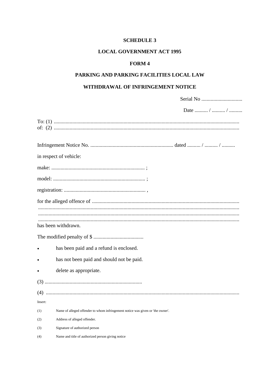# **LOCAL GOVERNMENT ACT 1995**

## FORM 4

# PARKING AND PARKING FACILITIES LOCAL LAW

## WITHDRAWAL OF INFRINGEMENT NOTICE

|         | Date  /  /                                                                     |
|---------|--------------------------------------------------------------------------------|
|         |                                                                                |
|         |                                                                                |
|         | in respect of vehicle:                                                         |
|         |                                                                                |
|         |                                                                                |
|         |                                                                                |
|         |                                                                                |
|         |                                                                                |
|         | has been withdrawn.                                                            |
|         |                                                                                |
|         | has been paid and a refund is enclosed.                                        |
|         | has not been paid and should not be paid.                                      |
|         | delete as appropriate.                                                         |
|         |                                                                                |
|         |                                                                                |
| $(4)$   |                                                                                |
| Insert: |                                                                                |
| (1)     | Name of alleged offender to whom infringement notice was given or 'the owner'. |
| (2)     | Address of alleged offender.                                                   |
| (3)     | Signature of authorized person                                                 |
| (4)     | Name and title of authorized person giving notice                              |